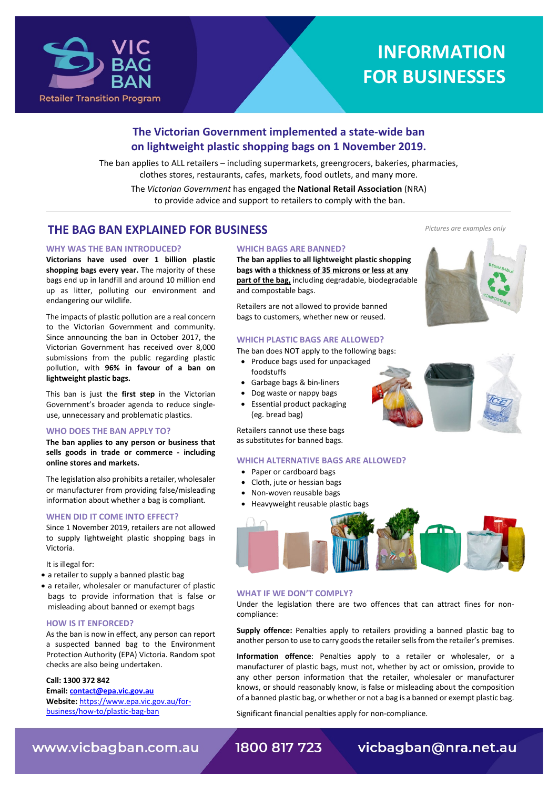

# **INFORMATION FOR BUSINESSES**

# **The Victorian Government implemented a state-wide ban on lightweight plastic shopping bags on 1 November 2019.**

The ban applies to ALL retailers – including supermarkets, greengrocers, bakeries, pharmacies, clothes stores, restaurants, cafes, markets, food outlets, and many more. The *Victorian Government* has engaged the **National Retail Association** (NRA) to provide advice and support to retailers to comply with the ban.

# **THE BAG BAN EXPLAINED FOR BUSINESS**

#### **WHY WAS THE BAN INTRODUCED?**

**Victorians have used over 1 billion plastic shopping bags every year.** The majority of these bags end up in landfill and around 10 million end up as litter, polluting our environment and endangering our wildlife.

The impacts of plastic pollution are a real concern to the Victorian Government and community. Since announcing the ban in October 2017, the Victorian Government has received over 8,000 submissions from the public regarding plastic pollution, with **96% in favour of a ban on lightweight plastic bags.**

This ban is just the **first step** in the Victorian Government's broader agenda to reduce singleuse, unnecessary and problematic plastics.

#### **WHO DOES THE BAN APPLY TO?**

**The ban applies to any person or business that sells goods in trade or commerce - including online stores and markets.** 

The legislation also prohibits a retailer, wholesaler or manufacturer from providing false/misleading information about whether a bag is compliant.

## **WHEN DID IT COME INTO EFFECT?**

Since 1 November 2019, retailers are not allowed to supply lightweight plastic shopping bags in Victoria.

It is illegal for:

- a retailer to supply a banned plastic bag
- a retailer, wholesaler or manufacturer of plastic bags to provide information that is false or misleading about banned or exempt bags

## **HOW IS IT ENFORCED?**

As the ban is now in effect, any person can report a suspected banned bag to the Environment Protection Authority (EPA) Victoria. Random spot checks are also being undertaken.

### **Call: 1300 372 842**

**Email[: contact@epa.vic.gov.au](mailto:contact@epa.vic.gov.au) Website:** [https://www.epa.vic.gov.au/for](https://www.epa.vic.gov.au/for-business/how-to/plastic-bag-ban)[business/how-to/plastic-bag-ban](https://www.epa.vic.gov.au/for-business/how-to/plastic-bag-ban)

#### **WHICH BAGS ARE BANNED?**

**The ban applies to all lightweight plastic shopping bags with a thickness of 35 microns or less at any part of the bag,** including degradable, biodegradable and compostable bags.

Retailers are not allowed to provide banned bags to customers, whether new or reused.

#### **WHICH PLASTIC BAGS ARE ALLOWED?**

The ban does NOT apply to the following bags:

- Produce bags used for unpackaged foodstuffs
- Garbage bags & bin-liners
- Dog waste or nappy bags
- Essential product packaging (eg. bread bag)

Retailers cannot use these bags as substitutes for banned bags.

#### **WHICH ALTERNATIVE BAGS ARE ALLOWED?**

- Paper or cardboard bags
- Cloth, jute or hessian bags
- Non-woven reusable bags
- Heavyweight reusable plastic bags



#### **WHAT IF WE DON'T COMPLY?**

Under the legislation there are two offences that can attract fines for noncompliance:

**Supply offence:** Penalties apply to retailers providing a banned plastic bag to another person to use to carry goods the retailer sells from the retailer's premises.

**Information offence**: Penalties apply to a retailer or wholesaler, or a manufacturer of plastic bags, must not, whether by act or omission, provide to any other person information that the retailer, wholesaler or manufacturer knows, or should reasonably know, is false or misleading about the composition of a banned plastic bag, or whether or not a bag is a banned or exempt plastic bag.

Significant financial penalties apply for non-compliance.

*Pictures are examples only*





www.vicbagban.com.au

1800 817 723